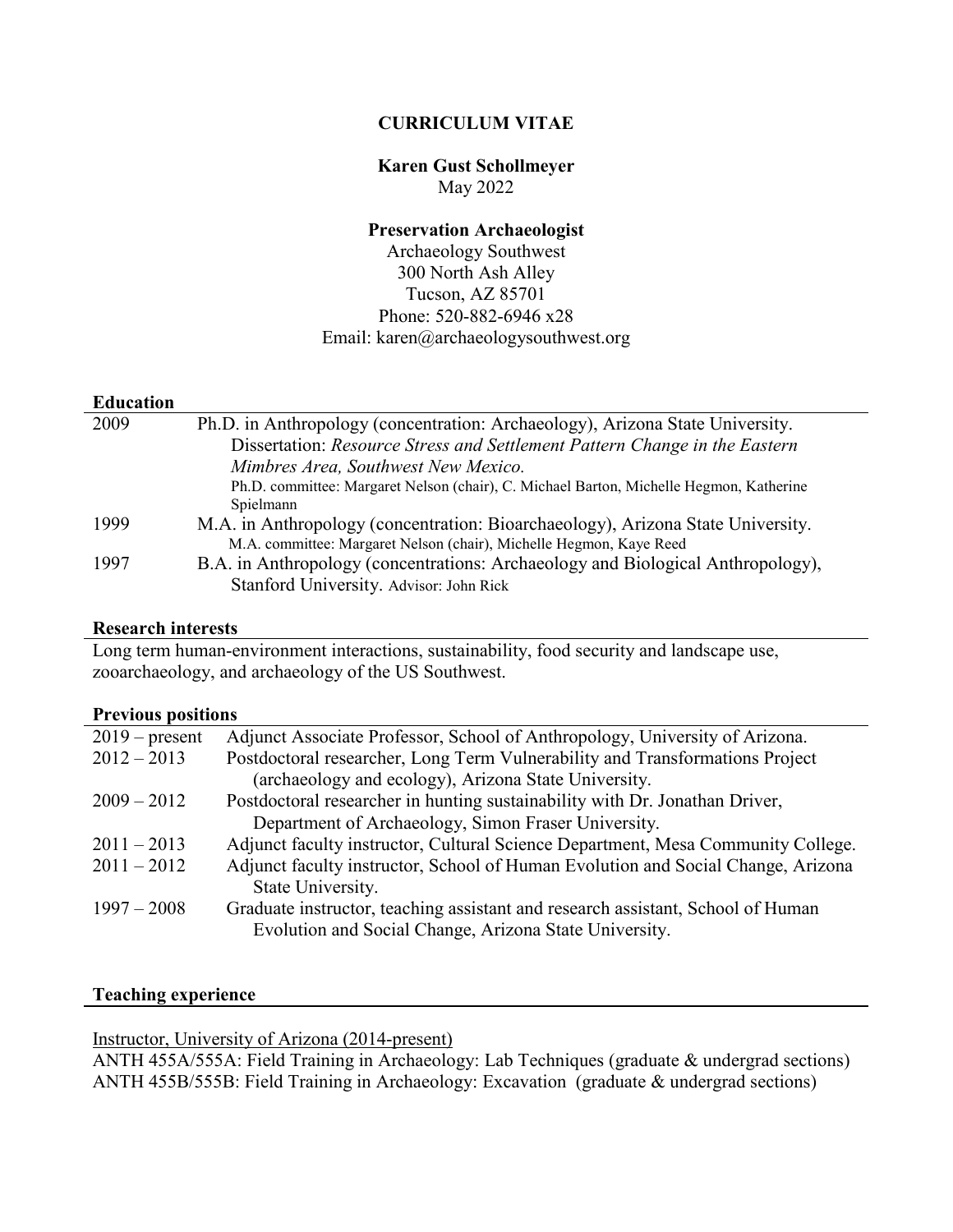## **CURRICULUM VITAE**

## **Karen Gust Schollmeyer** May 2022

## **Preservation Archaeologist**

Archaeology Southwest 300 North Ash Alley Tucson, AZ 85701 Phone: 520-882-6946 x28 Email: karen@archaeologysouthwest.org

## **Education**

| 2009 | Ph.D. in Anthropology (concentration: Archaeology), Arizona State University.           |
|------|-----------------------------------------------------------------------------------------|
|      | Dissertation: Resource Stress and Settlement Pattern Change in the Eastern              |
|      | Mimbres Area, Southwest New Mexico.                                                     |
|      | Ph.D. committee: Margaret Nelson (chair), C. Michael Barton, Michelle Hegmon, Katherine |
|      | Spielmann                                                                               |
| 1999 | M.A. in Anthropology (concentration: Bioarchaeology), Arizona State University.         |
|      | M.A. committee: Margaret Nelson (chair), Michelle Hegmon, Kaye Reed                     |
| 1997 | B.A. in Anthropology (concentrations: Archaeology and Biological Anthropology),         |
|      | Stanford University. Advisor: John Rick                                                 |

#### **Research interests**

Long term human-environment interactions, sustainability, food security and landscape use, zooarchaeology, and archaeology of the US Southwest.

#### **Previous positions**

| $2019$ – present | Adjunct Associate Professor, School of Anthropology, University of Arizona.      |
|------------------|----------------------------------------------------------------------------------|
| $2012 - 2013$    | Postdoctoral researcher, Long Term Vulnerability and Transformations Project     |
|                  | (archaeology and ecology), Arizona State University.                             |
| $2009 - 2012$    | Postdoctoral researcher in hunting sustainability with Dr. Jonathan Driver,      |
|                  | Department of Archaeology, Simon Fraser University.                              |
| $2011 - 2013$    | Adjunct faculty instructor, Cultural Science Department, Mesa Community College. |
| $2011 - 2012$    | Adjunct faculty instructor, School of Human Evolution and Social Change, Arizona |
|                  | State University.                                                                |
| $1997 - 2008$    | Graduate instructor, teaching assistant and research assistant, School of Human  |
|                  | Evolution and Social Change, Arizona State University.                           |

## **Teaching experience**

## Instructor, University of Arizona (2014-present)

ANTH 455A/555A: Field Training in Archaeology: Lab Techniques (graduate & undergrad sections) ANTH 455B/555B: Field Training in Archaeology: Excavation (graduate & undergrad sections)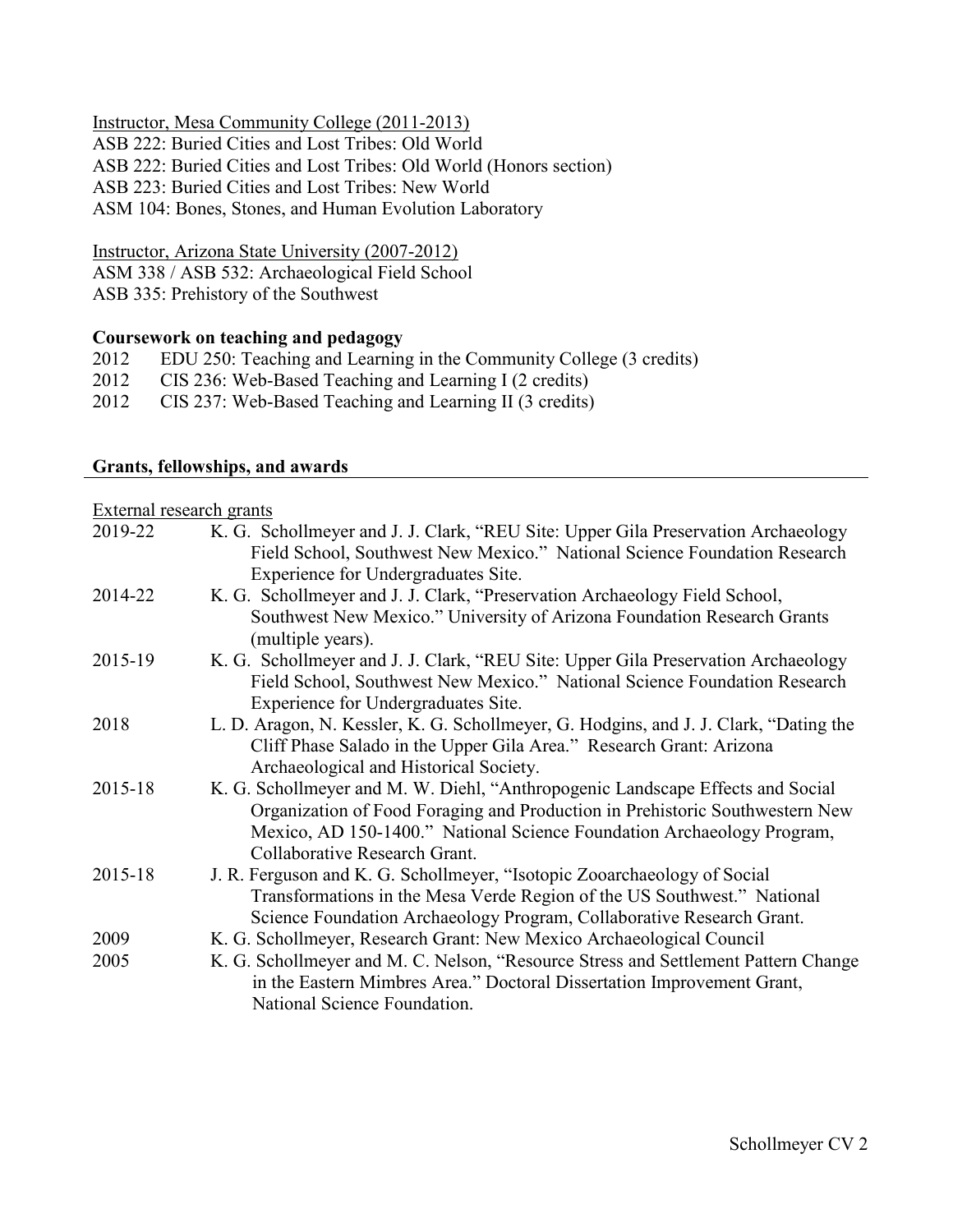Instructor, Mesa Community College (2011-2013)

ASB 222: Buried Cities and Lost Tribes: Old World ASB 222: Buried Cities and Lost Tribes: Old World (Honors section) ASB 223: Buried Cities and Lost Tribes: New World ASM 104: Bones, Stones, and Human Evolution Laboratory

Instructor, Arizona State University (2007-2012)

ASM 338 / ASB 532: Archaeological Field School

ASB 335: Prehistory of the Southwest

## **Coursework on teaching and pedagogy**

- 2012 EDU 250: Teaching and Learning in the Community College (3 credits)
- 2012 CIS 236: Web-Based Teaching and Learning I (2 credits)
- 2012 CIS 237: Web-Based Teaching and Learning II (3 credits)

## **Grants, fellowships, and awards**

External research grants

| 2019-22 | K. G. Schollmeyer and J. J. Clark, "REU Site: Upper Gila Preservation Archaeology                                |
|---------|------------------------------------------------------------------------------------------------------------------|
|         | Field School, Southwest New Mexico." National Science Foundation Research<br>Experience for Undergraduates Site. |
| 2014-22 | K. G. Schollmeyer and J. J. Clark, "Preservation Archaeology Field School,                                       |
|         | Southwest New Mexico." University of Arizona Foundation Research Grants<br>(multiple years).                     |
| 2015-19 | K. G. Schollmeyer and J. J. Clark, "REU Site: Upper Gila Preservation Archaeology                                |
|         | Field School, Southwest New Mexico." National Science Foundation Research                                        |
|         | Experience for Undergraduates Site.                                                                              |
| 2018    | L. D. Aragon, N. Kessler, K. G. Schollmeyer, G. Hodgins, and J. J. Clark, "Dating the                            |
|         | Cliff Phase Salado in the Upper Gila Area." Research Grant: Arizona                                              |
|         | Archaeological and Historical Society.                                                                           |
| 2015-18 | K. G. Schollmeyer and M. W. Diehl, "Anthropogenic Landscape Effects and Social                                   |
|         | Organization of Food Foraging and Production in Prehistoric Southwestern New                                     |
|         | Mexico, AD 150-1400." National Science Foundation Archaeology Program,                                           |
|         | Collaborative Research Grant.                                                                                    |
| 2015-18 | J. R. Ferguson and K. G. Schollmeyer, "Isotopic Zooarchaeology of Social                                         |
|         | Transformations in the Mesa Verde Region of the US Southwest." National                                          |
|         | Science Foundation Archaeology Program, Collaborative Research Grant.                                            |
| 2009    | K. G. Schollmeyer, Research Grant: New Mexico Archaeological Council                                             |
| 2005    | K. G. Schollmeyer and M. C. Nelson, "Resource Stress and Settlement Pattern Change                               |
|         | in the Eastern Mimbres Area." Doctoral Dissertation Improvement Grant,                                           |
|         | National Science Foundation.                                                                                     |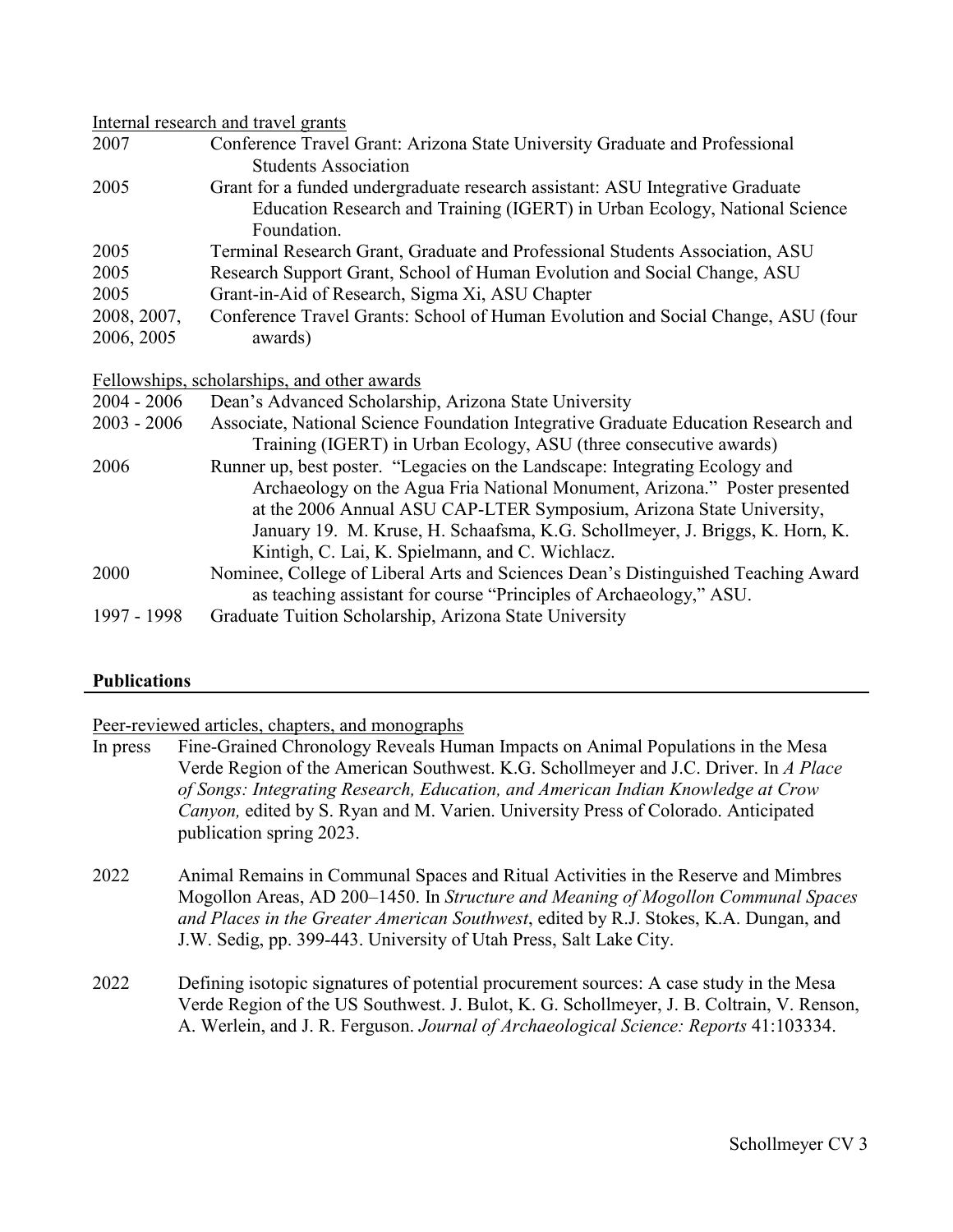#### Internal research and travel grants

| 2007        | Conference Travel Grant: Arizona State University Graduate and Professional      |
|-------------|----------------------------------------------------------------------------------|
|             | <b>Students Association</b>                                                      |
| 2005        | Grant for a funded undergraduate research assistant: ASU Integrative Graduate    |
|             | Education Research and Training (IGERT) in Urban Ecology, National Science       |
|             | Foundation.                                                                      |
| 2005        | Terminal Research Grant, Graduate and Professional Students Association, ASU     |
| 2005        | Research Support Grant, School of Human Evolution and Social Change, ASU         |
| 2005        | Grant-in-Aid of Research, Sigma Xi, ASU Chapter                                  |
| 2008, 2007, | Conference Travel Grants: School of Human Evolution and Social Change, ASU (four |
| 2006, 2005  | awards)                                                                          |
|             |                                                                                  |

Fellowships, scholarships, and other awards

| $2004 - 2006$ | Dean's Advanced Scholarship, Arizona State University                              |
|---------------|------------------------------------------------------------------------------------|
| $2003 - 2006$ | Associate, National Science Foundation Integrative Graduate Education Research and |
|               | Training (IGERT) in Urban Ecology, ASU (three consecutive awards)                  |
| 2006          | Runner up, best poster. "Legacies on the Landscape: Integrating Ecology and        |
|               | Archaeology on the Agua Fria National Monument, Arizona." Poster presented         |
|               | at the 2006 Annual ASU CAP-LTER Symposium, Arizona State University,               |
|               | January 19. M. Kruse, H. Schaafsma, K.G. Schollmeyer, J. Briggs, K. Horn, K.       |
|               | Kintigh, C. Lai, K. Spielmann, and C. Wichlacz.                                    |
| 2000          | Nominee, College of Liberal Arts and Sciences Dean's Distinguished Teaching Award  |
|               | as teaching assistant for course "Principles of Archaeology," ASU.                 |
| 1997 - 1998   | Graduate Tuition Scholarship, Arizona State University                             |

## **Publications**

#### Peer-reviewed articles, chapters, and monographs

- In press Fine-Grained Chronology Reveals Human Impacts on Animal Populations in the Mesa Verde Region of the American Southwest. K.G. Schollmeyer and J.C. Driver. In *A Place of Songs: Integrating Research, Education, and American Indian Knowledge at Crow Canyon,* edited by S. Ryan and M. Varien. University Press of Colorado. Anticipated publication spring 2023.
- 2022 Animal Remains in Communal Spaces and Ritual Activities in the Reserve and Mimbres Mogollon Areas, AD 200–1450. In *Structure and Meaning of Mogollon Communal Spaces and Places in the Greater American Southwest*, edited by R.J. Stokes, K.A. Dungan, and J.W. Sedig, pp. 399-443. University of Utah Press, Salt Lake City.
- 2022 Defining isotopic signatures of potential procurement sources: A case study in the Mesa Verde Region of the US Southwest. J. Bulot, K. G. Schollmeyer, J. B. Coltrain, V. Renson, A. Werlein, and J. R. Ferguson. *Journal of Archaeological Science: Reports* 41:103334.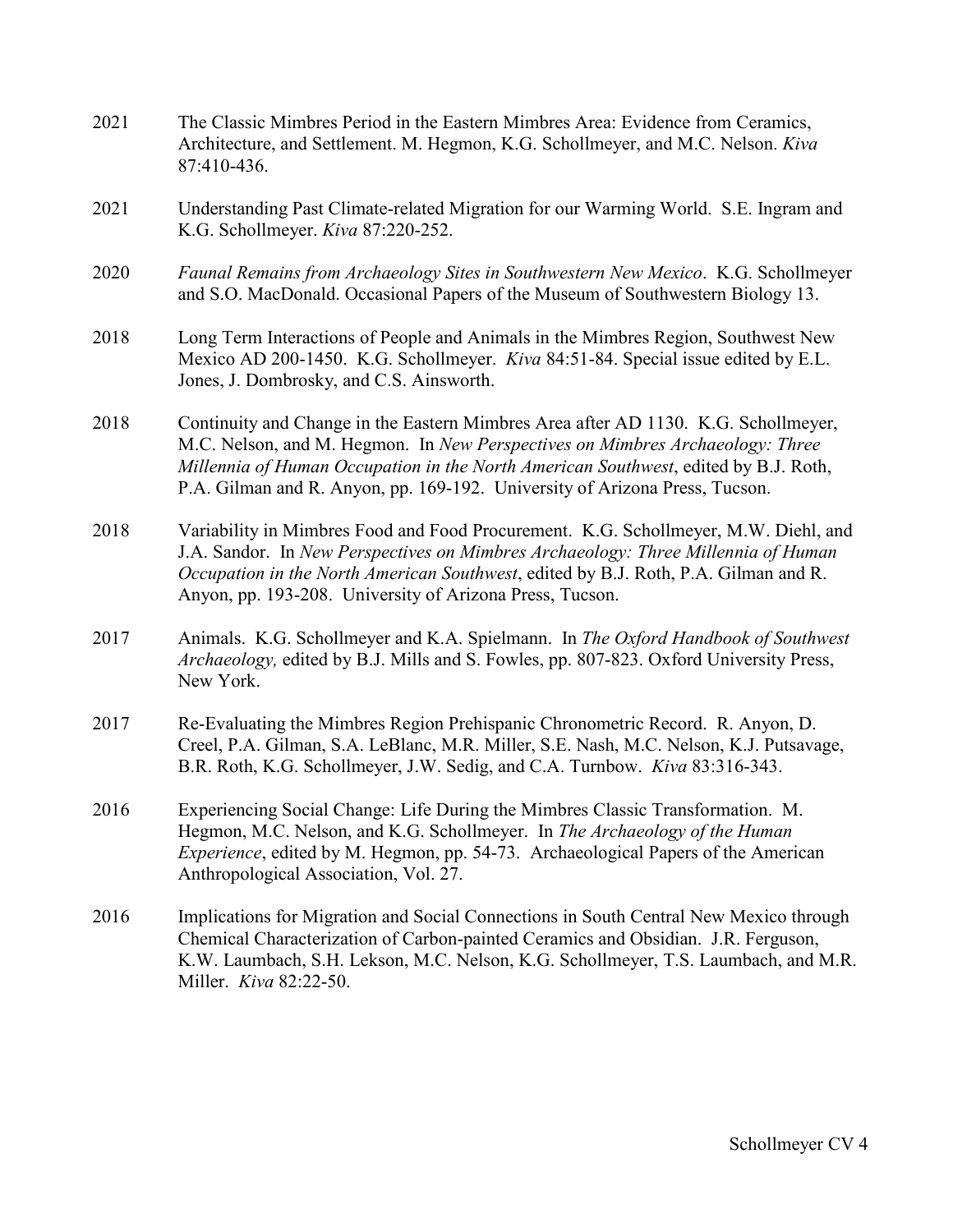2021 The Classic Mimbres Period in the Eastern Mimbres Area: Evidence from Ceramics, Architecture, and Settlement. M. Hegmon, K.G. Schollmeyer, and M.C. Nelson. *Kiva* 87:410-436. 2021 Understanding Past Climate-related Migration for our Warming World. S.E. Ingram and K.G. Schollmeyer. *Kiva* 87:220-252. 2020 *Faunal Remains from Archaeology Sites in Southwestern New Mexico*. K.G. Schollmeyer and S.O. MacDonald. Occasional Papers of the Museum of Southwestern Biology 13. 2018 Long Term Interactions of People and Animals in the Mimbres Region, Southwest New Mexico AD 200-1450. K.G. Schollmeyer. *Kiva* 84:51-84. Special issue edited by E.L. Jones, J. Dombrosky, and C.S. Ainsworth. 2018 Continuity and Change in the Eastern Mimbres Area after AD 1130. K.G. Schollmeyer, M.C. Nelson, and M. Hegmon. In *New Perspectives on Mimbres Archaeology: Three Millennia of Human Occupation in the North American Southwest*, edited by B.J. Roth, P.A. Gilman and R. Anyon, pp. 169-192. University of Arizona Press, Tucson. 2018 Variability in Mimbres Food and Food Procurement. K.G. Schollmeyer, M.W. Diehl, and J.A. Sandor. In *New Perspectives on Mimbres Archaeology: Three Millennia of Human Occupation in the North American Southwest*, edited by B.J. Roth, P.A. Gilman and R. Anyon, pp. 193-208. University of Arizona Press, Tucson. 2017 Animals. K.G. Schollmeyer and K.A. Spielmann. In *The Oxford Handbook of Southwest Archaeology,* edited by B.J. Mills and S. Fowles, pp. 807-823. Oxford University Press, New York. 2017 Re-Evaluating the Mimbres Region Prehispanic Chronometric Record. R. Anyon, D. Creel, P.A. Gilman, S.A. LeBlanc, M.R. Miller, S.E. Nash, M.C. Nelson, K.J. Putsavage, B.R. Roth, K.G. Schollmeyer, J.W. Sedig, and C.A. Turnbow. *Kiva* 83:316-343. 2016 Experiencing Social Change: Life During the Mimbres Classic Transformation. M. Hegmon, M.C. Nelson, and K.G. Schollmeyer. In *The Archaeology of the Human Experience*, edited by M. Hegmon, pp. 54-73. Archaeological Papers of the American Anthropological Association, Vol. 27. 2016 Implications for Migration and Social Connections in South Central New Mexico through Chemical Characterization of Carbon-painted Ceramics and Obsidian. J.R. Ferguson, K.W. Laumbach, S.H. Lekson, M.C. Nelson, K.G. Schollmeyer, T.S. Laumbach, and M.R. Miller. *Kiva* 82:22-50.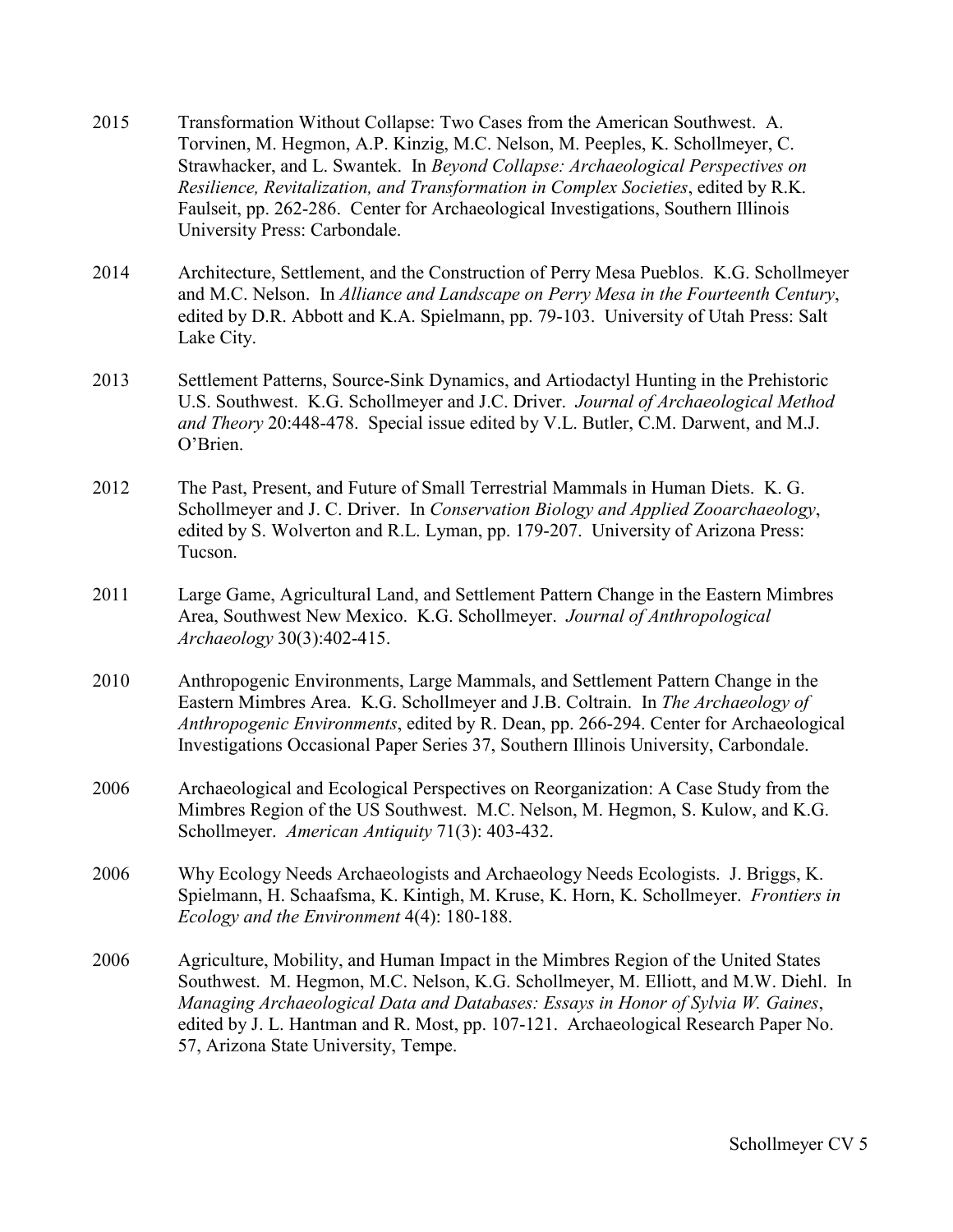- 2015 Transformation Without Collapse: Two Cases from the American Southwest. A. Torvinen, M. Hegmon, A.P. Kinzig, M.C. Nelson, M. Peeples, K. Schollmeyer, C. Strawhacker, and L. Swantek. In *Beyond Collapse: Archaeological Perspectives on Resilience, Revitalization, and Transformation in Complex Societies*, edited by R.K. Faulseit, pp. 262-286. Center for Archaeological Investigations, Southern Illinois University Press: Carbondale.
- 2014 Architecture, Settlement, and the Construction of Perry Mesa Pueblos. K.G. Schollmeyer and M.C. Nelson. In *Alliance and Landscape on Perry Mesa in the Fourteenth Century*, edited by D.R. Abbott and K.A. Spielmann, pp. 79-103. University of Utah Press: Salt Lake City.
- 2013 Settlement Patterns, Source-Sink Dynamics, and Artiodactyl Hunting in the Prehistoric U.S. Southwest. K.G. Schollmeyer and J.C. Driver. *Journal of Archaeological Method and Theory* 20:448-478. Special issue edited by V.L. Butler, C.M. Darwent, and M.J. O'Brien.
- 2012 The Past, Present, and Future of Small Terrestrial Mammals in Human Diets. K. G. Schollmeyer and J. C. Driver. In *Conservation Biology and Applied Zooarchaeology*, edited by S. Wolverton and R.L. Lyman, pp. 179-207. University of Arizona Press: Tucson.
- 2011 Large Game, Agricultural Land, and Settlement Pattern Change in the Eastern Mimbres Area, Southwest New Mexico. K.G. Schollmeyer. *Journal of Anthropological Archaeology* 30(3):402-415.
- 2010 Anthropogenic Environments, Large Mammals, and Settlement Pattern Change in the Eastern Mimbres Area. K.G. Schollmeyer and J.B. Coltrain. In *The Archaeology of Anthropogenic Environments*, edited by R. Dean, pp. 266-294. Center for Archaeological Investigations Occasional Paper Series 37, Southern Illinois University, Carbondale.
- 2006 Archaeological and Ecological Perspectives on Reorganization: A Case Study from the Mimbres Region of the US Southwest. M.C. Nelson, M. Hegmon, S. Kulow, and K.G. Schollmeyer. *American Antiquity* 71(3): 403-432.
- 2006 Why Ecology Needs Archaeologists and Archaeology Needs Ecologists. J. Briggs, K. Spielmann, H. Schaafsma, K. Kintigh, M. Kruse, K. Horn, K. Schollmeyer. *Frontiers in Ecology and the Environment* 4(4): 180-188.
- 2006 Agriculture, Mobility, and Human Impact in the Mimbres Region of the United States Southwest. M. Hegmon, M.C. Nelson, K.G. Schollmeyer, M. Elliott, and M.W. Diehl. In *Managing Archaeological Data and Databases: Essays in Honor of Sylvia W. Gaines*, edited by J. L. Hantman and R. Most, pp. 107-121. Archaeological Research Paper No. 57, Arizona State University, Tempe.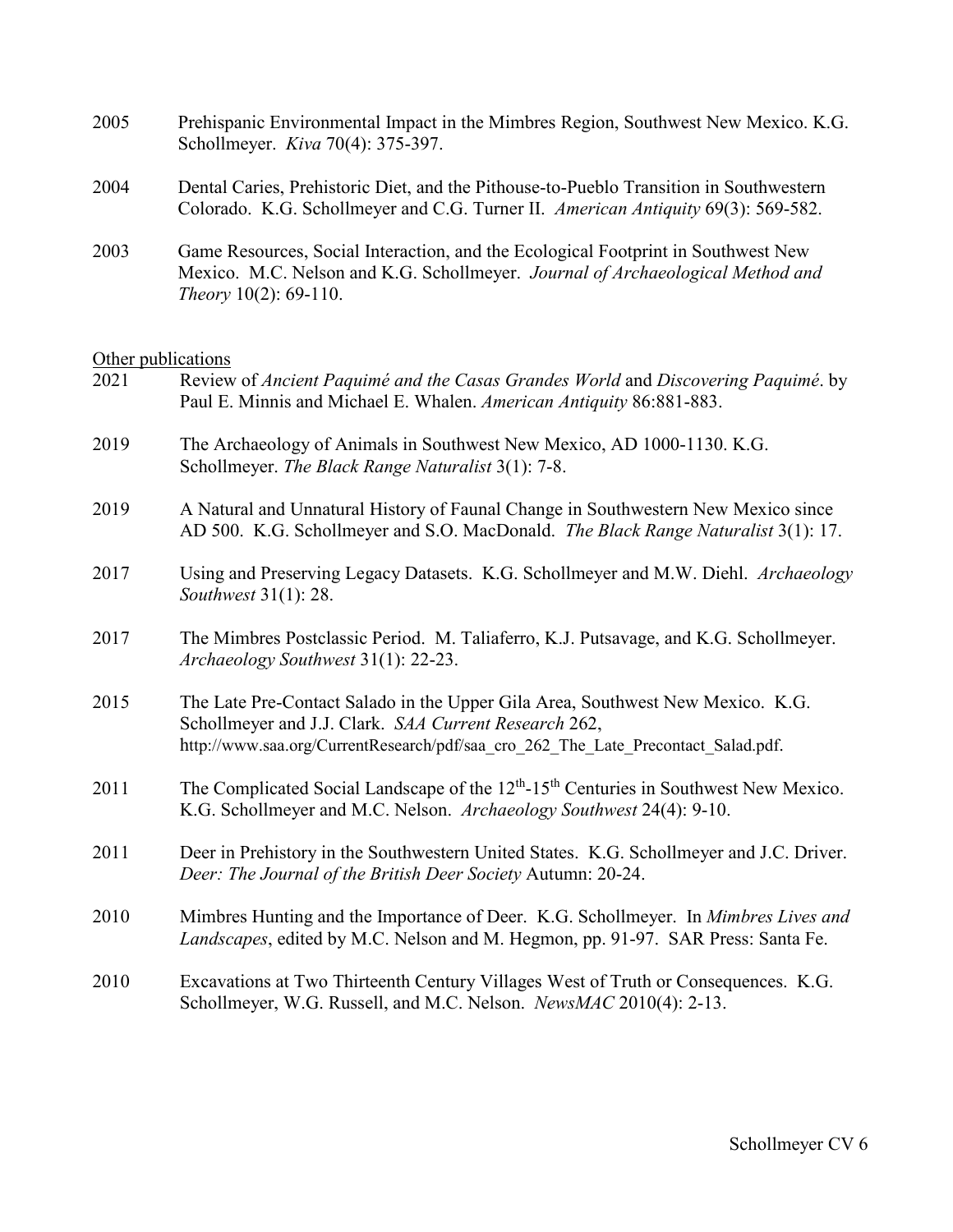| 2005 | Prehispanic Environmental Impact in the Mimbres Region, Southwest New Mexico. K.G.<br>Schollmeyer. <i>Kiva</i> 70(4): 375-397.                                              |
|------|-----------------------------------------------------------------------------------------------------------------------------------------------------------------------------|
| 2004 | Dental Caries, Prehistoric Diet, and the Pithouse-to-Pueblo Transition in Southwestern<br>Colorado. K.G. Schollmeyer and C.G. Turner II. American Antiquity 69(3): 569-582. |
| 2003 | Game Resources, Social Interaction, and the Ecological Footprint in Southwest New                                                                                           |

2003 Game Resources, Social Interaction, and the Ecological Footprint in Southwest New Mexico. M.C. Nelson and K.G. Schollmeyer. *Journal of Archaeological Method and Theory* 10(2): 69-110.

# Other publications

| <u>UTIM publications</u><br>2021 | Review of Ancient Paquimé and the Casas Grandes World and Discovering Paquimé. by                                                                                                                                            |
|----------------------------------|------------------------------------------------------------------------------------------------------------------------------------------------------------------------------------------------------------------------------|
|                                  | Paul E. Minnis and Michael E. Whalen. American Antiquity 86:881-883.                                                                                                                                                         |
| 2019                             | The Archaeology of Animals in Southwest New Mexico, AD 1000-1130. K.G.<br>Schollmeyer. The Black Range Naturalist 3(1): 7-8.                                                                                                 |
| 2019                             | A Natural and Unnatural History of Faunal Change in Southwestern New Mexico since<br>AD 500. K.G. Schollmeyer and S.O. MacDonald. The Black Range Naturalist 3(1): 17.                                                       |
| 2017                             | Using and Preserving Legacy Datasets. K.G. Schollmeyer and M.W. Diehl. Archaeology<br>Southwest 31(1): 28.                                                                                                                   |
| 2017                             | The Mimbres Postclassic Period. M. Taliaferro, K.J. Putsavage, and K.G. Schollmeyer.<br>Archaeology Southwest 31(1): 22-23.                                                                                                  |
| 2015                             | The Late Pre-Contact Salado in the Upper Gila Area, Southwest New Mexico. K.G.<br>Schollmeyer and J.J. Clark. SAA Current Research 262,<br>http://www.saa.org/CurrentResearch/pdf/saa cro 262 The Late Precontact Salad.pdf. |
| 2011                             | The Complicated Social Landscape of the $12th$ -15 <sup>th</sup> Centuries in Southwest New Mexico.<br>K.G. Schollmeyer and M.C. Nelson. Archaeology Southwest 24(4): 9-10.                                                  |
| 2011                             | Deer in Prehistory in the Southwestern United States. K.G. Schollmeyer and J.C. Driver.<br>Deer: The Journal of the British Deer Society Autumn: 20-24.                                                                      |
| 2010                             | Mimbres Hunting and the Importance of Deer. K.G. Schollmeyer. In Mimbres Lives and<br>Landscapes, edited by M.C. Nelson and M. Hegmon, pp. 91-97. SAR Press: Santa Fe.                                                       |
| 2010                             | Excavations at Two Thirteenth Century Villages West of Truth or Consequences. K.G.<br>Schollmeyer, W.G. Russell, and M.C. Nelson. NewsMAC 2010(4): 2-13.                                                                     |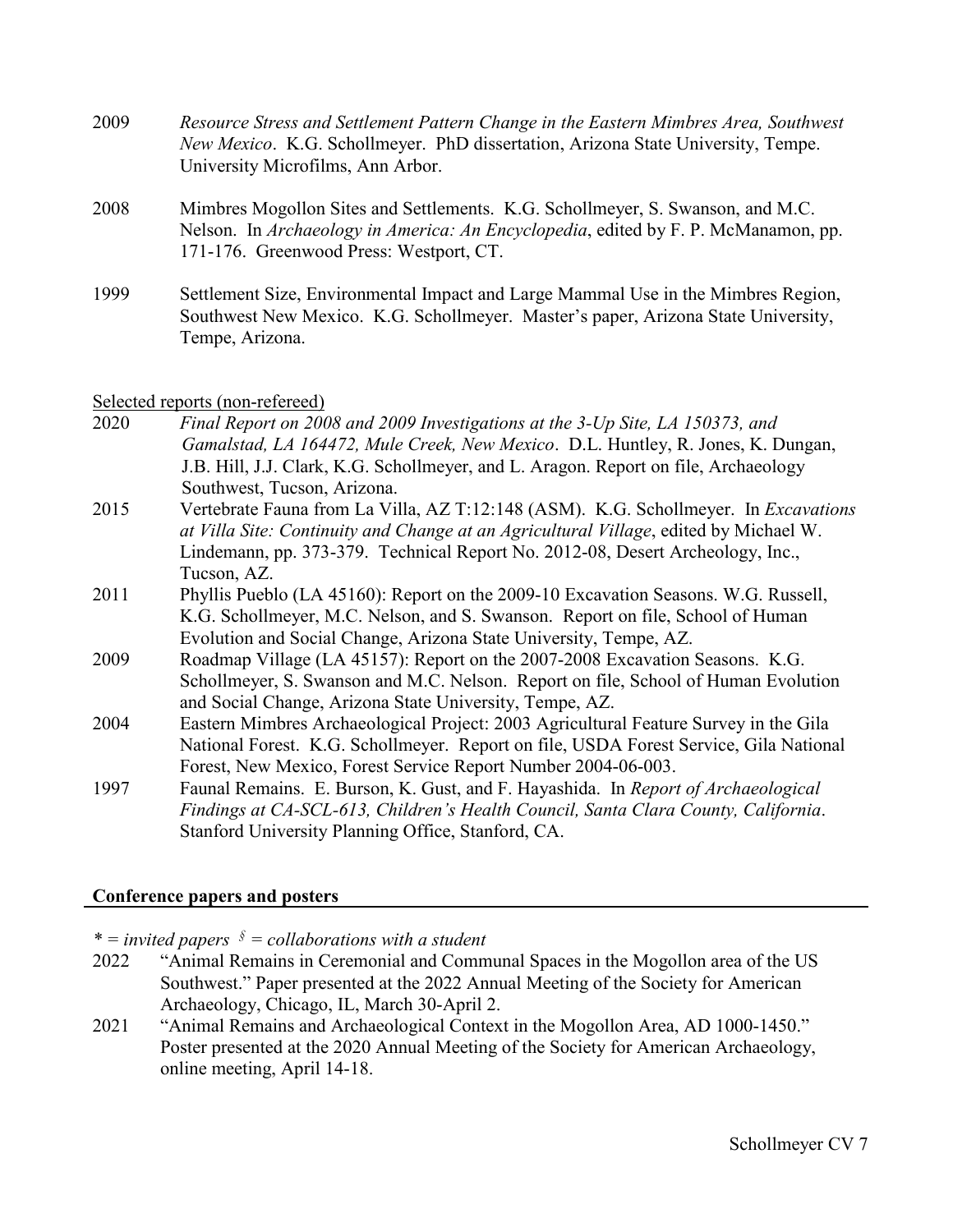- 2009 *Resource Stress and Settlement Pattern Change in the Eastern Mimbres Area, Southwest New Mexico*. K.G. Schollmeyer. PhD dissertation, Arizona State University, Tempe. University Microfilms, Ann Arbor.
- 2008 Mimbres Mogollon Sites and Settlements. K.G. Schollmeyer, S. Swanson, and M.C. Nelson. In *Archaeology in America: An Encyclopedia*, edited by F. P. McManamon, pp. 171-176. Greenwood Press: Westport, CT.
- 1999 Settlement Size, Environmental Impact and Large Mammal Use in the Mimbres Region, Southwest New Mexico. K.G. Schollmeyer. Master's paper, Arizona State University, Tempe, Arizona.

## Selected reports (non-refereed)

- 2020 *Final Report on 2008 and 2009 Investigations at the 3-Up Site, LA 150373, and Gamalstad, LA 164472, Mule Creek, New Mexico*. D.L. Huntley, R. Jones, K. Dungan, J.B. Hill, J.J. Clark, K.G. Schollmeyer, and L. Aragon. Report on file, Archaeology Southwest, Tucson, Arizona.
- 2015 Vertebrate Fauna from La Villa, AZ T:12:148 (ASM). K.G. Schollmeyer. In *Excavations at Villa Site: Continuity and Change at an Agricultural Village*, edited by Michael W. Lindemann, pp. 373-379. Technical Report No. 2012-08, Desert Archeology, Inc., Tucson, AZ.
- 2011 Phyllis Pueblo (LA 45160): Report on the 2009-10 Excavation Seasons. W.G. Russell, K.G. Schollmeyer, M.C. Nelson, and S. Swanson. Report on file, School of Human Evolution and Social Change, Arizona State University, Tempe, AZ.
- 2009 Roadmap Village (LA 45157): Report on the 2007-2008 Excavation Seasons. K.G. Schollmeyer, S. Swanson and M.C. Nelson. Report on file, School of Human Evolution and Social Change, Arizona State University, Tempe, AZ.
- 2004 Eastern Mimbres Archaeological Project: 2003 Agricultural Feature Survey in the Gila National Forest. K.G. Schollmeyer. Report on file, USDA Forest Service, Gila National Forest, New Mexico, Forest Service Report Number 2004-06-003.
- 1997 Faunal Remains. E. Burson, K. Gust, and F. Hayashida. In *Report of Archaeological Findings at CA-SCL-613, Children's Health Council, Santa Clara County, California*. Stanford University Planning Office, Stanford, CA.

# **Conference papers and posters**

*\* = invited papers § = collaborations with a student*

- 2022 "Animal Remains in Ceremonial and Communal Spaces in the Mogollon area of the US Southwest." Paper presented at the 2022 Annual Meeting of the Society for American Archaeology, Chicago, IL, March 30-April 2.
- 2021 "Animal Remains and Archaeological Context in the Mogollon Area, AD 1000-1450." Poster presented at the 2020 Annual Meeting of the Society for American Archaeology, online meeting, April 14-18.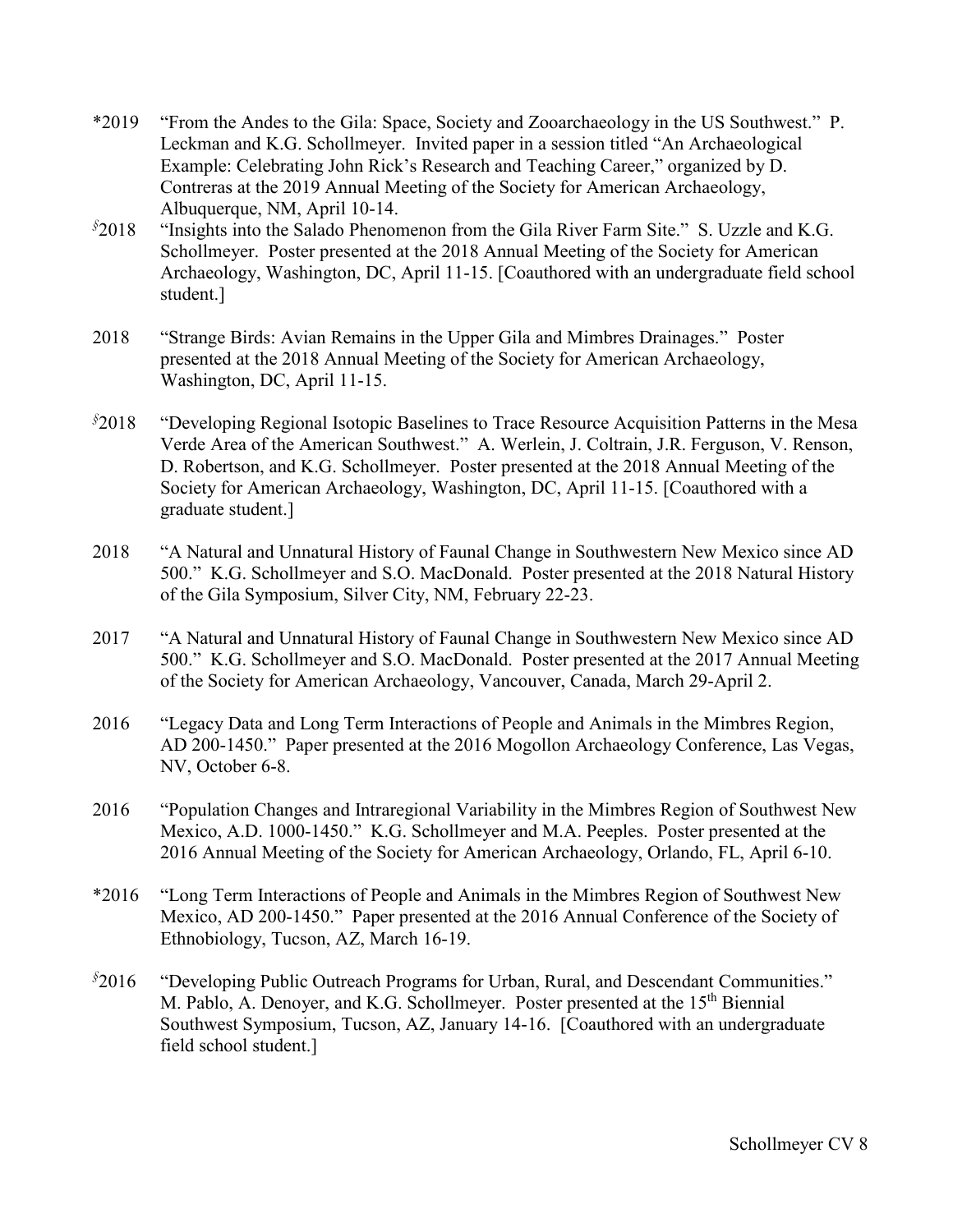- \*2019 "From the Andes to the Gila: Space, Society and Zooarchaeology in the US Southwest." P. Leckman and K.G. Schollmeyer. Invited paper in a session titled "An Archaeological Example: Celebrating John Rick's Research and Teaching Career," organized by D. Contreras at the 2019 Annual Meeting of the Society for American Archaeology, Albuquerque, NM, April 10-14.
- *§* 2018 "Insights into the Salado Phenomenon from the Gila River Farm Site." S. Uzzle and K.G. Schollmeyer. Poster presented at the 2018 Annual Meeting of the Society for American Archaeology, Washington, DC, April 11-15. [Coauthored with an undergraduate field school student.]
- 2018 "Strange Birds: Avian Remains in the Upper Gila and Mimbres Drainages." Poster presented at the 2018 Annual Meeting of the Society for American Archaeology, Washington, DC, April 11-15.
- *§* "Developing Regional Isotopic Baselines to Trace Resource Acquisition Patterns in the Mesa Verde Area of the American Southwest." A. Werlein, J. Coltrain, J.R. Ferguson, V. Renson, D. Robertson, and K.G. Schollmeyer. Poster presented at the 2018 Annual Meeting of the Society for American Archaeology, Washington, DC, April 11-15. [Coauthored with a graduate student.]
- 2018 "A Natural and Unnatural History of Faunal Change in Southwestern New Mexico since AD 500." K.G. Schollmeyer and S.O. MacDonald. Poster presented at the 2018 Natural History of the Gila Symposium, Silver City, NM, February 22-23.
- 2017 "A Natural and Unnatural History of Faunal Change in Southwestern New Mexico since AD 500." K.G. Schollmeyer and S.O. MacDonald. Poster presented at the 2017 Annual Meeting of the Society for American Archaeology, Vancouver, Canada, March 29-April 2.
- 2016 "Legacy Data and Long Term Interactions of People and Animals in the Mimbres Region, AD 200-1450." Paper presented at the 2016 Mogollon Archaeology Conference, Las Vegas, NV, October 6-8.
- 2016 "Population Changes and Intraregional Variability in the Mimbres Region of Southwest New Mexico, A.D. 1000-1450." K.G. Schollmeyer and M.A. Peeples. Poster presented at the 2016 Annual Meeting of the Society for American Archaeology, Orlando, FL, April 6-10.
- \*2016 "Long Term Interactions of People and Animals in the Mimbres Region of Southwest New Mexico, AD 200-1450." Paper presented at the 2016 Annual Conference of the Society of Ethnobiology, Tucson, AZ, March 16-19.
- *§* "Developing Public Outreach Programs for Urban, Rural, and Descendant Communities." M. Pablo, A. Denoyer, and K.G. Schollmeyer. Poster presented at the 15<sup>th</sup> Biennial Southwest Symposium, Tucson, AZ, January 14-16. [Coauthored with an undergraduate field school student.]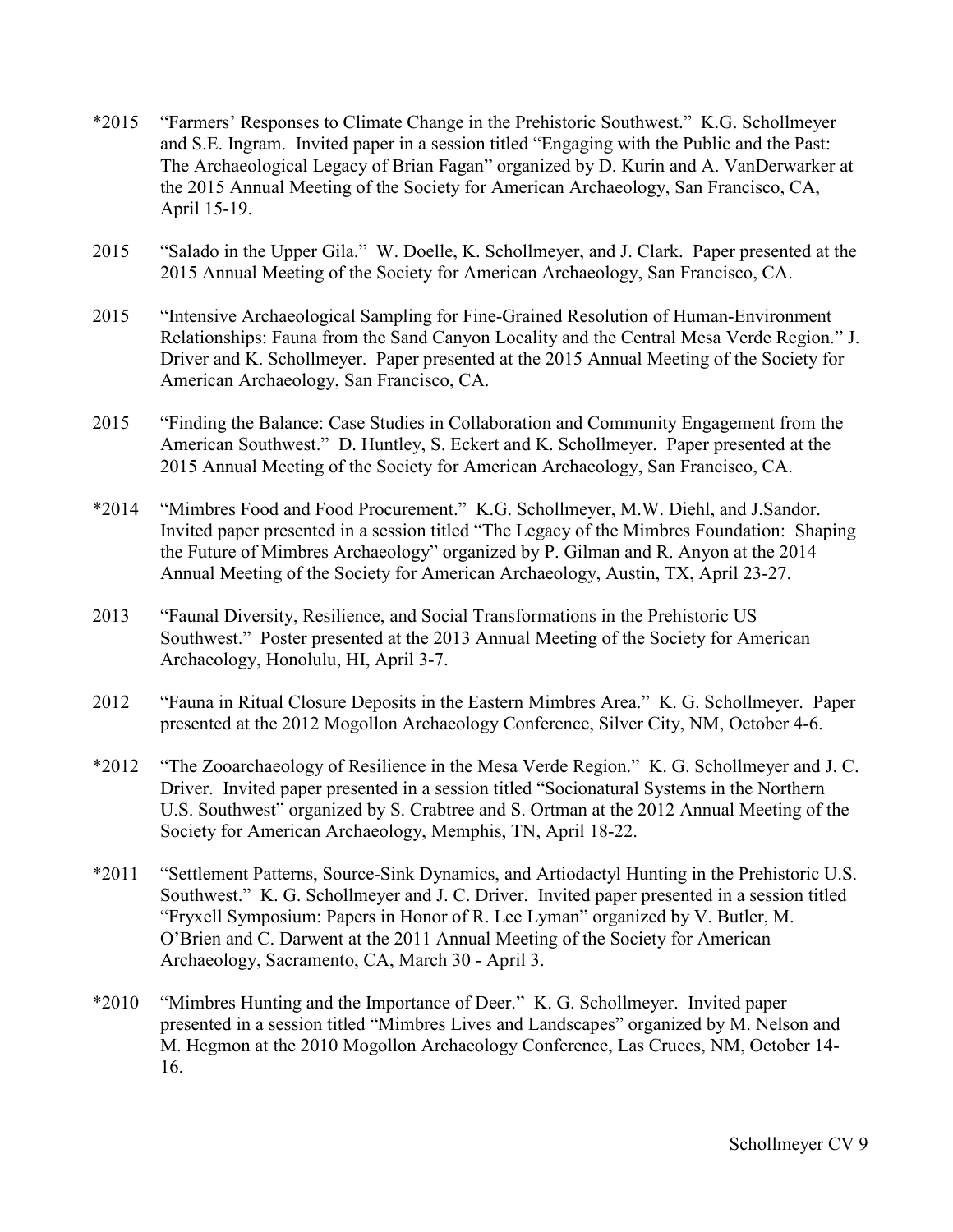- \*2015 "Farmers' Responses to Climate Change in the Prehistoric Southwest." K.G. Schollmeyer and S.E. Ingram. Invited paper in a session titled "Engaging with the Public and the Past: The Archaeological Legacy of Brian Fagan" organized by D. Kurin and A. VanDerwarker at the 2015 Annual Meeting of the Society for American Archaeology, San Francisco, CA, April 15-19.
- 2015 "Salado in the Upper Gila." W. Doelle, K. Schollmeyer, and J. Clark. Paper presented at the 2015 Annual Meeting of the Society for American Archaeology, San Francisco, CA.
- 2015 "Intensive Archaeological Sampling for Fine-Grained Resolution of Human-Environment Relationships: Fauna from the Sand Canyon Locality and the Central Mesa Verde Region." J. Driver and K. Schollmeyer. Paper presented at the 2015 Annual Meeting of the Society for American Archaeology, San Francisco, CA.
- 2015 "Finding the Balance: Case Studies in Collaboration and Community Engagement from the American Southwest." D. Huntley, S. Eckert and K. Schollmeyer. Paper presented at the 2015 Annual Meeting of the Society for American Archaeology, San Francisco, CA.
- \*2014 "Mimbres Food and Food Procurement." K.G. Schollmeyer, M.W. Diehl, and J.Sandor. Invited paper presented in a session titled "The Legacy of the Mimbres Foundation: Shaping the Future of Mimbres Archaeology" organized by P. Gilman and R. Anyon at the 2014 Annual Meeting of the Society for American Archaeology, Austin, TX, April 23-27.
- 2013 "Faunal Diversity, Resilience, and Social Transformations in the Prehistoric US Southwest." Poster presented at the 2013 Annual Meeting of the Society for American Archaeology, Honolulu, HI, April 3-7.
- 2012 "Fauna in Ritual Closure Deposits in the Eastern Mimbres Area." K. G. Schollmeyer. Paper presented at the 2012 Mogollon Archaeology Conference, Silver City, NM, October 4-6.
- \*2012 "The Zooarchaeology of Resilience in the Mesa Verde Region." K. G. Schollmeyer and J. C. Driver. Invited paper presented in a session titled "Socionatural Systems in the Northern U.S. Southwest" organized by S. Crabtree and S. Ortman at the 2012 Annual Meeting of the Society for American Archaeology, Memphis, TN, April 18-22.
- \*2011 "Settlement Patterns, Source-Sink Dynamics, and Artiodactyl Hunting in the Prehistoric U.S. Southwest." K. G. Schollmeyer and J. C. Driver. Invited paper presented in a session titled "Fryxell Symposium: Papers in Honor of R. Lee Lyman" organized by V. Butler, M. O'Brien and C. Darwent at the 2011 Annual Meeting of the Society for American Archaeology, Sacramento, CA, March 30 - April 3.
- \*2010 "Mimbres Hunting and the Importance of Deer." K. G. Schollmeyer. Invited paper presented in a session titled "Mimbres Lives and Landscapes" organized by M. Nelson and M. Hegmon at the 2010 Mogollon Archaeology Conference, Las Cruces, NM, October 14- 16.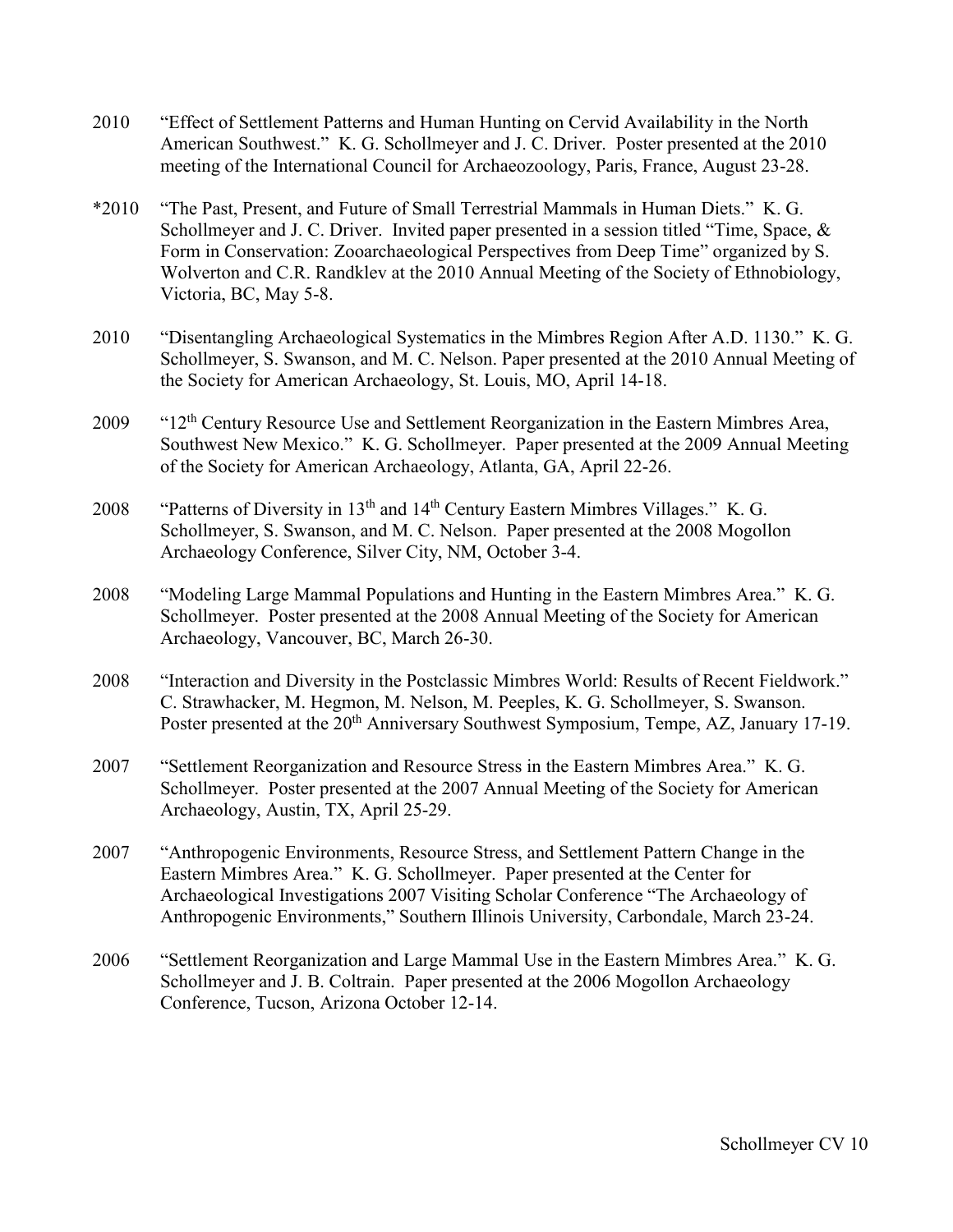- 2010 "Effect of Settlement Patterns and Human Hunting on Cervid Availability in the North American Southwest." K. G. Schollmeyer and J. C. Driver. Poster presented at the 2010 meeting of the International Council for Archaeozoology, Paris, France, August 23-28.
- \*2010 "The Past, Present, and Future of Small Terrestrial Mammals in Human Diets." K. G. Schollmeyer and J. C. Driver. Invited paper presented in a session titled "Time, Space, & Form in Conservation: Zooarchaeological Perspectives from Deep Time" organized by S. Wolverton and C.R. Randklev at the 2010 Annual Meeting of the Society of Ethnobiology, Victoria, BC, May 5-8.
- 2010 "Disentangling Archaeological Systematics in the Mimbres Region After A.D. 1130." K. G. Schollmeyer, S. Swanson, and M. C. Nelson. Paper presented at the 2010 Annual Meeting of the Society for American Archaeology, St. Louis, MO, April 14-18.
- 2009 "12<sup>th</sup> Century Resource Use and Settlement Reorganization in the Eastern Mimbres Area, Southwest New Mexico." K. G. Schollmeyer. Paper presented at the 2009 Annual Meeting of the Society for American Archaeology, Atlanta, GA, April 22-26.
- 2008 "Patterns of Diversity in 13<sup>th</sup> and 14<sup>th</sup> Century Eastern Mimbres Villages." K. G. Schollmeyer, S. Swanson, and M. C. Nelson. Paper presented at the 2008 Mogollon Archaeology Conference, Silver City, NM, October 3-4.
- 2008 "Modeling Large Mammal Populations and Hunting in the Eastern Mimbres Area." K. G. Schollmeyer. Poster presented at the 2008 Annual Meeting of the Society for American Archaeology, Vancouver, BC, March 26-30.
- 2008 "Interaction and Diversity in the Postclassic Mimbres World: Results of Recent Fieldwork." C. Strawhacker, M. Hegmon, M. Nelson, M. Peeples, K. G. Schollmeyer, S. Swanson. Poster presented at the 20<sup>th</sup> Anniversary Southwest Symposium, Tempe, AZ, January 17-19.
- 2007 "Settlement Reorganization and Resource Stress in the Eastern Mimbres Area." K. G. Schollmeyer. Poster presented at the 2007 Annual Meeting of the Society for American Archaeology, Austin, TX, April 25-29.
- 2007 "Anthropogenic Environments, Resource Stress, and Settlement Pattern Change in the Eastern Mimbres Area." K. G. Schollmeyer. Paper presented at the Center for Archaeological Investigations 2007 Visiting Scholar Conference "The Archaeology of Anthropogenic Environments," Southern Illinois University, Carbondale, March 23-24.
- 2006 "Settlement Reorganization and Large Mammal Use in the Eastern Mimbres Area." K. G. Schollmeyer and J. B. Coltrain. Paper presented at the 2006 Mogollon Archaeology Conference, Tucson, Arizona October 12-14.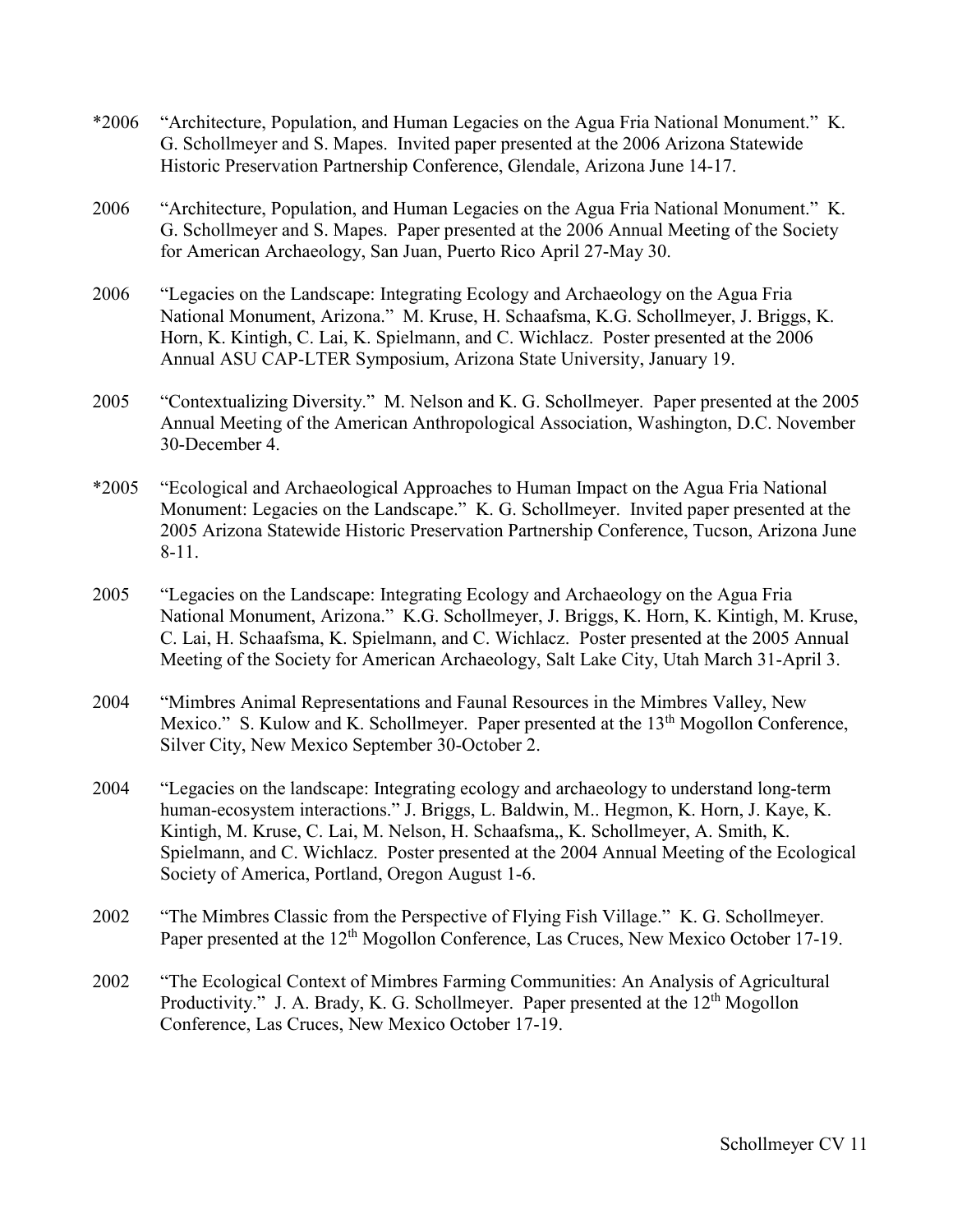- \*2006 "Architecture, Population, and Human Legacies on the Agua Fria National Monument." K. G. Schollmeyer and S. Mapes. Invited paper presented at the 2006 Arizona Statewide Historic Preservation Partnership Conference, Glendale, Arizona June 14-17.
- 2006 "Architecture, Population, and Human Legacies on the Agua Fria National Monument." K. G. Schollmeyer and S. Mapes. Paper presented at the 2006 Annual Meeting of the Society for American Archaeology, San Juan, Puerto Rico April 27-May 30.
- 2006 "Legacies on the Landscape: Integrating Ecology and Archaeology on the Agua Fria National Monument, Arizona." M. Kruse, H. Schaafsma, K.G. Schollmeyer, J. Briggs, K. Horn, K. Kintigh, C. Lai, K. Spielmann, and C. Wichlacz. Poster presented at the 2006 Annual ASU CAP-LTER Symposium, Arizona State University, January 19.
- 2005 "Contextualizing Diversity." M. Nelson and K. G. Schollmeyer. Paper presented at the 2005 Annual Meeting of the American Anthropological Association, Washington, D.C. November 30-December 4.
- \*2005 "Ecological and Archaeological Approaches to Human Impact on the Agua Fria National Monument: Legacies on the Landscape." K. G. Schollmeyer. Invited paper presented at the 2005 Arizona Statewide Historic Preservation Partnership Conference, Tucson, Arizona June 8-11.
- 2005 "Legacies on the Landscape: Integrating Ecology and Archaeology on the Agua Fria National Monument, Arizona." K.G. Schollmeyer, J. Briggs, K. Horn, K. Kintigh, M. Kruse, C. Lai, H. Schaafsma, K. Spielmann, and C. Wichlacz. Poster presented at the 2005 Annual Meeting of the Society for American Archaeology, Salt Lake City, Utah March 31-April 3.
- 2004 "Mimbres Animal Representations and Faunal Resources in the Mimbres Valley, New Mexico." S. Kulow and K. Schollmeyer. Paper presented at the 13<sup>th</sup> Mogollon Conference, Silver City, New Mexico September 30-October 2.
- 2004 "Legacies on the landscape: Integrating ecology and archaeology to understand long-term human-ecosystem interactions." J. Briggs, L. Baldwin, M.. Hegmon, K. Horn, J. Kaye, K. Kintigh, M. Kruse, C. Lai, M. Nelson, H. Schaafsma,, K. Schollmeyer, A. Smith, K. Spielmann, and C. Wichlacz. Poster presented at the 2004 Annual Meeting of the Ecological Society of America, Portland, Oregon August 1-6.
- 2002 "The Mimbres Classic from the Perspective of Flying Fish Village." K. G. Schollmeyer. Paper presented at the 12<sup>th</sup> Mogollon Conference, Las Cruces, New Mexico October 17-19.
- 2002 "The Ecological Context of Mimbres Farming Communities: An Analysis of Agricultural Productivity." J. A. Brady, K. G. Schollmeyer. Paper presented at the  $12<sup>th</sup>$  Mogollon Conference, Las Cruces, New Mexico October 17-19.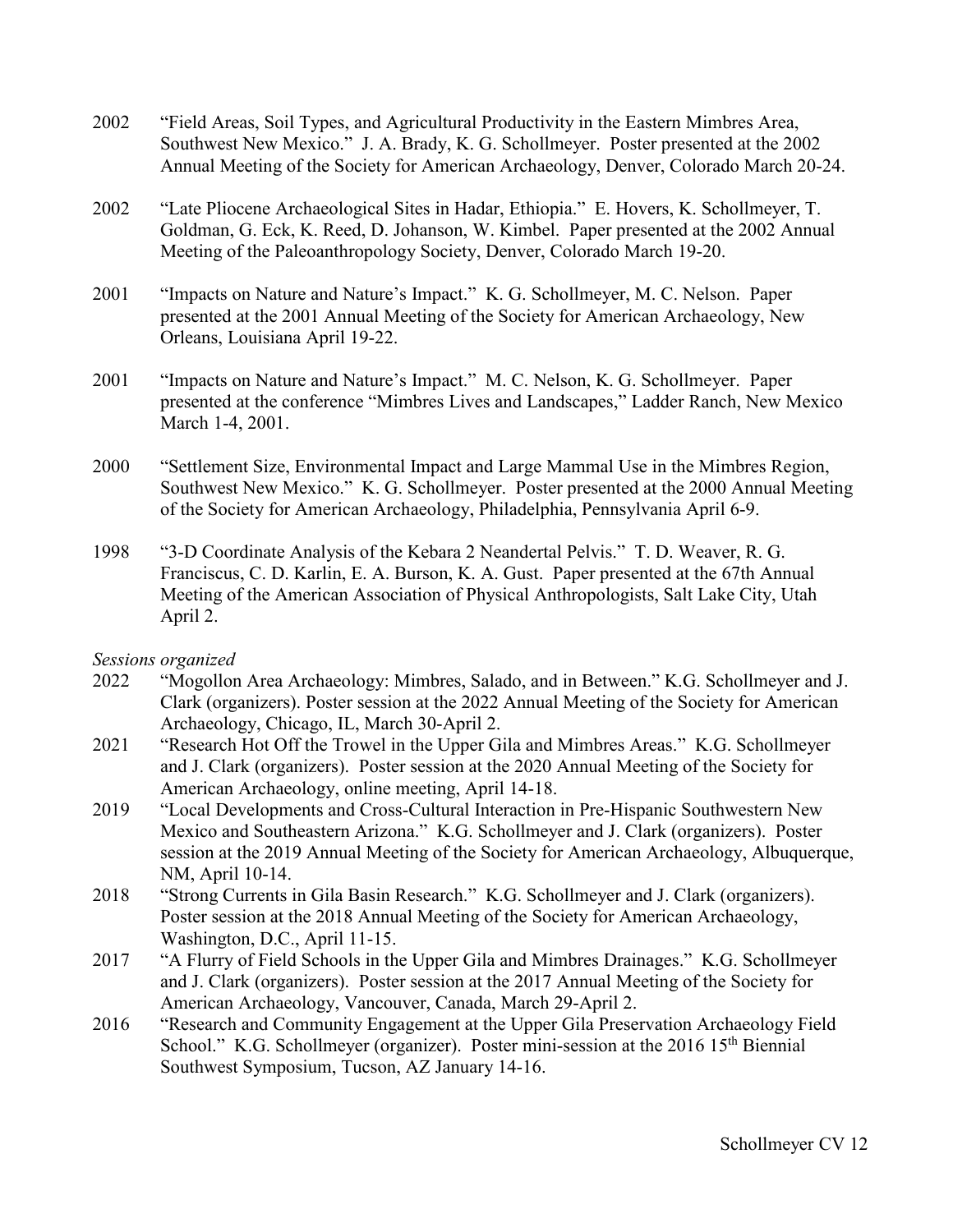- 2002 "Field Areas, Soil Types, and Agricultural Productivity in the Eastern Mimbres Area, Southwest New Mexico." J. A. Brady, K. G. Schollmeyer. Poster presented at the 2002 Annual Meeting of the Society for American Archaeology, Denver, Colorado March 20-24.
- 2002 "Late Pliocene Archaeological Sites in Hadar, Ethiopia." E. Hovers, K. Schollmeyer, T. Goldman, G. Eck, K. Reed, D. Johanson, W. Kimbel. Paper presented at the 2002 Annual Meeting of the Paleoanthropology Society, Denver, Colorado March 19-20.
- 2001 "Impacts on Nature and Nature's Impact." K. G. Schollmeyer, M. C. Nelson. Paper presented at the 2001 Annual Meeting of the Society for American Archaeology, New Orleans, Louisiana April 19-22.
- 2001 "Impacts on Nature and Nature's Impact." M. C. Nelson, K. G. Schollmeyer. Paper presented at the conference "Mimbres Lives and Landscapes," Ladder Ranch, New Mexico March 1-4, 2001.
- 2000 "Settlement Size, Environmental Impact and Large Mammal Use in the Mimbres Region, Southwest New Mexico." K. G. Schollmeyer. Poster presented at the 2000 Annual Meeting of the Society for American Archaeology, Philadelphia, Pennsylvania April 6-9.
- 1998 "3-D Coordinate Analysis of the Kebara 2 Neandertal Pelvis." T. D. Weaver, R. G. Franciscus, C. D. Karlin, E. A. Burson, K. A. Gust. Paper presented at the 67th Annual Meeting of the American Association of Physical Anthropologists, Salt Lake City, Utah April 2.

## *Sessions organized*

- 2022 "Mogollon Area Archaeology: Mimbres, Salado, and in Between." K.G. Schollmeyer and J. Clark (organizers). Poster session at the 2022 Annual Meeting of the Society for American Archaeology, Chicago, IL, March 30-April 2.
- 2021 "Research Hot Off the Trowel in the Upper Gila and Mimbres Areas." K.G. Schollmeyer and J. Clark (organizers). Poster session at the 2020 Annual Meeting of the Society for American Archaeology, online meeting, April 14-18.
- 2019 "Local Developments and Cross-Cultural Interaction in Pre-Hispanic Southwestern New Mexico and Southeastern Arizona." K.G. Schollmeyer and J. Clark (organizers). Poster session at the 2019 Annual Meeting of the Society for American Archaeology, Albuquerque, NM, April 10-14.
- 2018 "Strong Currents in Gila Basin Research." K.G. Schollmeyer and J. Clark (organizers). Poster session at the 2018 Annual Meeting of the Society for American Archaeology, Washington, D.C., April 11-15.
- 2017 "A Flurry of Field Schools in the Upper Gila and Mimbres Drainages." K.G. Schollmeyer and J. Clark (organizers). Poster session at the 2017 Annual Meeting of the Society for American Archaeology, Vancouver, Canada, March 29-April 2.
- 2016 "Research and Community Engagement at the Upper Gila Preservation Archaeology Field School." K.G. Schollmeyer (organizer). Poster mini-session at the 2016 15<sup>th</sup> Biennial Southwest Symposium, Tucson, AZ January 14-16.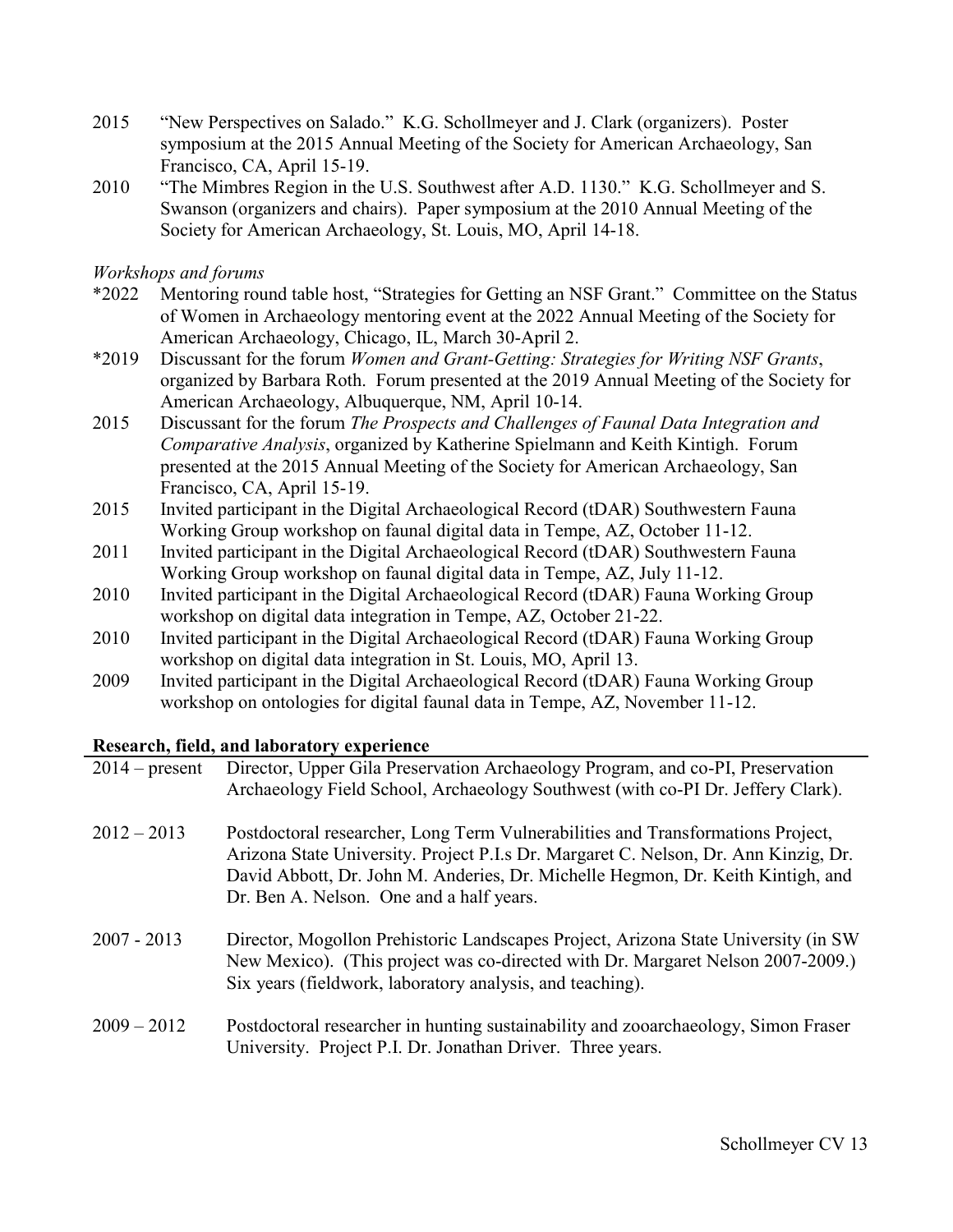- 2015 "New Perspectives on Salado." K.G. Schollmeyer and J. Clark (organizers). Poster symposium at the 2015 Annual Meeting of the Society for American Archaeology, San Francisco, CA, April 15-19.
- 2010 "The Mimbres Region in the U.S. Southwest after A.D. 1130." K.G. Schollmeyer and S. Swanson (organizers and chairs). Paper symposium at the 2010 Annual Meeting of the Society for American Archaeology, St. Louis, MO, April 14-18.

## *Workshops and forums*

- \*2022 Mentoring round table host, "Strategies for Getting an NSF Grant." Committee on the Status of Women in Archaeology mentoring event at the 2022 Annual Meeting of the Society for American Archaeology, Chicago, IL, March 30-April 2.
- \*2019 Discussant for the forum *Women and Grant-Getting: Strategies for Writing NSF Grants*, organized by Barbara Roth. Forum presented at the 2019 Annual Meeting of the Society for American Archaeology, Albuquerque, NM, April 10-14.
- 2015 Discussant for the forum *The Prospects and Challenges of Faunal Data Integration and Comparative Analysis*, organized by Katherine Spielmann and Keith Kintigh. Forum presented at the 2015 Annual Meeting of the Society for American Archaeology, San Francisco, CA, April 15-19.
- 2015 Invited participant in the Digital Archaeological Record (tDAR) Southwestern Fauna Working Group workshop on faunal digital data in Tempe, AZ, October 11-12.
- 2011 Invited participant in the Digital Archaeological Record (tDAR) Southwestern Fauna Working Group workshop on faunal digital data in Tempe, AZ, July 11-12.
- 2010 Invited participant in the Digital Archaeological Record (tDAR) Fauna Working Group workshop on digital data integration in Tempe, AZ, October 21-22.
- 2010 Invited participant in the Digital Archaeological Record (tDAR) Fauna Working Group workshop on digital data integration in St. Louis, MO, April 13.
- 2009 Invited participant in the Digital Archaeological Record (tDAR) Fauna Working Group workshop on ontologies for digital faunal data in Tempe, AZ, November 11-12.

# **Research, field, and laboratory experience**

| $2014$ – present | Director, Upper Gila Preservation Archaeology Program, and co-PI, Preservation<br>Archaeology Field School, Archaeology Southwest (with co-PI Dr. Jeffery Clark).                                                                                                                                     |
|------------------|-------------------------------------------------------------------------------------------------------------------------------------------------------------------------------------------------------------------------------------------------------------------------------------------------------|
| $2012 - 2013$    | Postdoctoral researcher, Long Term Vulnerabilities and Transformations Project,<br>Arizona State University. Project P.I.s Dr. Margaret C. Nelson, Dr. Ann Kinzig, Dr.<br>David Abbott, Dr. John M. Anderies, Dr. Michelle Hegmon, Dr. Keith Kintigh, and<br>Dr. Ben A. Nelson. One and a half years. |
| $2007 - 2013$    | Director, Mogollon Prehistoric Landscapes Project, Arizona State University (in SW)<br>New Mexico). (This project was co-directed with Dr. Margaret Nelson 2007-2009.)<br>Six years (fieldwork, laboratory analysis, and teaching).                                                                   |
| $2009 - 2012$    | Postdoctoral researcher in hunting sustainability and zooarchaeology, Simon Fraser<br>University. Project P.I. Dr. Jonathan Driver. Three years.                                                                                                                                                      |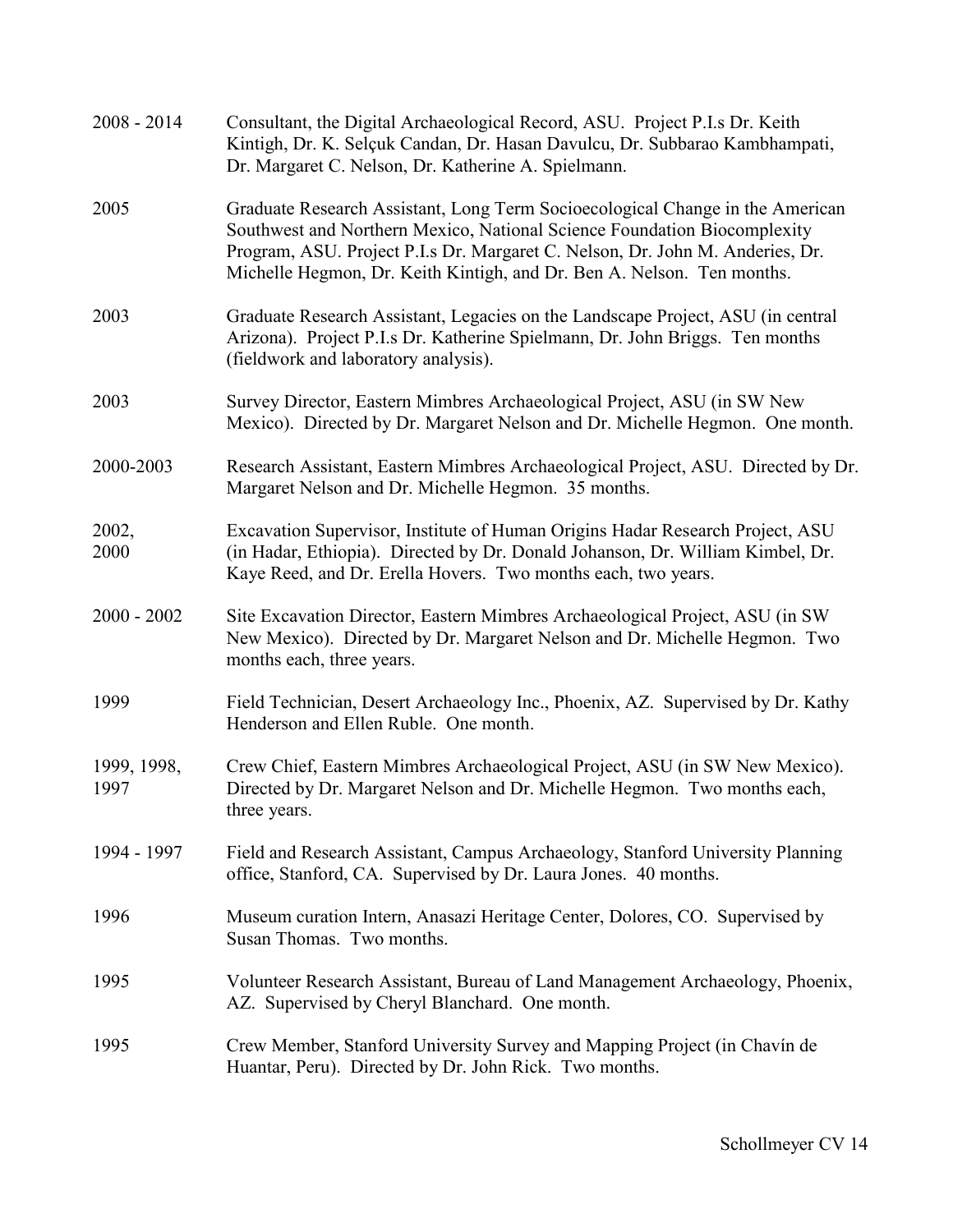| $2008 - 2014$       | Consultant, the Digital Archaeological Record, ASU. Project P.I.s Dr. Keith<br>Kintigh, Dr. K. Selçuk Candan, Dr. Hasan Davulcu, Dr. Subbarao Kambhampati,<br>Dr. Margaret C. Nelson, Dr. Katherine A. Spielmann.                                                                                                    |
|---------------------|----------------------------------------------------------------------------------------------------------------------------------------------------------------------------------------------------------------------------------------------------------------------------------------------------------------------|
| 2005                | Graduate Research Assistant, Long Term Socioecological Change in the American<br>Southwest and Northern Mexico, National Science Foundation Biocomplexity<br>Program, ASU. Project P.I.s Dr. Margaret C. Nelson, Dr. John M. Anderies, Dr.<br>Michelle Hegmon, Dr. Keith Kintigh, and Dr. Ben A. Nelson. Ten months. |
| 2003                | Graduate Research Assistant, Legacies on the Landscape Project, ASU (in central<br>Arizona). Project P.I.s Dr. Katherine Spielmann, Dr. John Briggs. Ten months<br>(fieldwork and laboratory analysis).                                                                                                              |
| 2003                | Survey Director, Eastern Mimbres Archaeological Project, ASU (in SW New<br>Mexico). Directed by Dr. Margaret Nelson and Dr. Michelle Hegmon. One month.                                                                                                                                                              |
| 2000-2003           | Research Assistant, Eastern Mimbres Archaeological Project, ASU. Directed by Dr.<br>Margaret Nelson and Dr. Michelle Hegmon. 35 months.                                                                                                                                                                              |
| 2002,<br>2000       | Excavation Supervisor, Institute of Human Origins Hadar Research Project, ASU<br>(in Hadar, Ethiopia). Directed by Dr. Donald Johanson, Dr. William Kimbel, Dr.<br>Kaye Reed, and Dr. Erella Hovers. Two months each, two years.                                                                                     |
| $2000 - 2002$       | Site Excavation Director, Eastern Mimbres Archaeological Project, ASU (in SW)<br>New Mexico). Directed by Dr. Margaret Nelson and Dr. Michelle Hegmon. Two<br>months each, three years.                                                                                                                              |
| 1999                | Field Technician, Desert Archaeology Inc., Phoenix, AZ. Supervised by Dr. Kathy<br>Henderson and Ellen Ruble. One month.                                                                                                                                                                                             |
| 1999, 1998,<br>1997 | Crew Chief, Eastern Mimbres Archaeological Project, ASU (in SW New Mexico).<br>Directed by Dr. Margaret Nelson and Dr. Michelle Hegmon. Two months each,<br>three years.                                                                                                                                             |
| 1994 - 1997         | Field and Research Assistant, Campus Archaeology, Stanford University Planning<br>office, Stanford, CA. Supervised by Dr. Laura Jones. 40 months.                                                                                                                                                                    |
| 1996                | Museum curation Intern, Anasazi Heritage Center, Dolores, CO. Supervised by<br>Susan Thomas. Two months.                                                                                                                                                                                                             |
| 1995                | Volunteer Research Assistant, Bureau of Land Management Archaeology, Phoenix,<br>AZ. Supervised by Cheryl Blanchard. One month.                                                                                                                                                                                      |
| 1995                | Crew Member, Stanford University Survey and Mapping Project (in Chavín de<br>Huantar, Peru). Directed by Dr. John Rick. Two months.                                                                                                                                                                                  |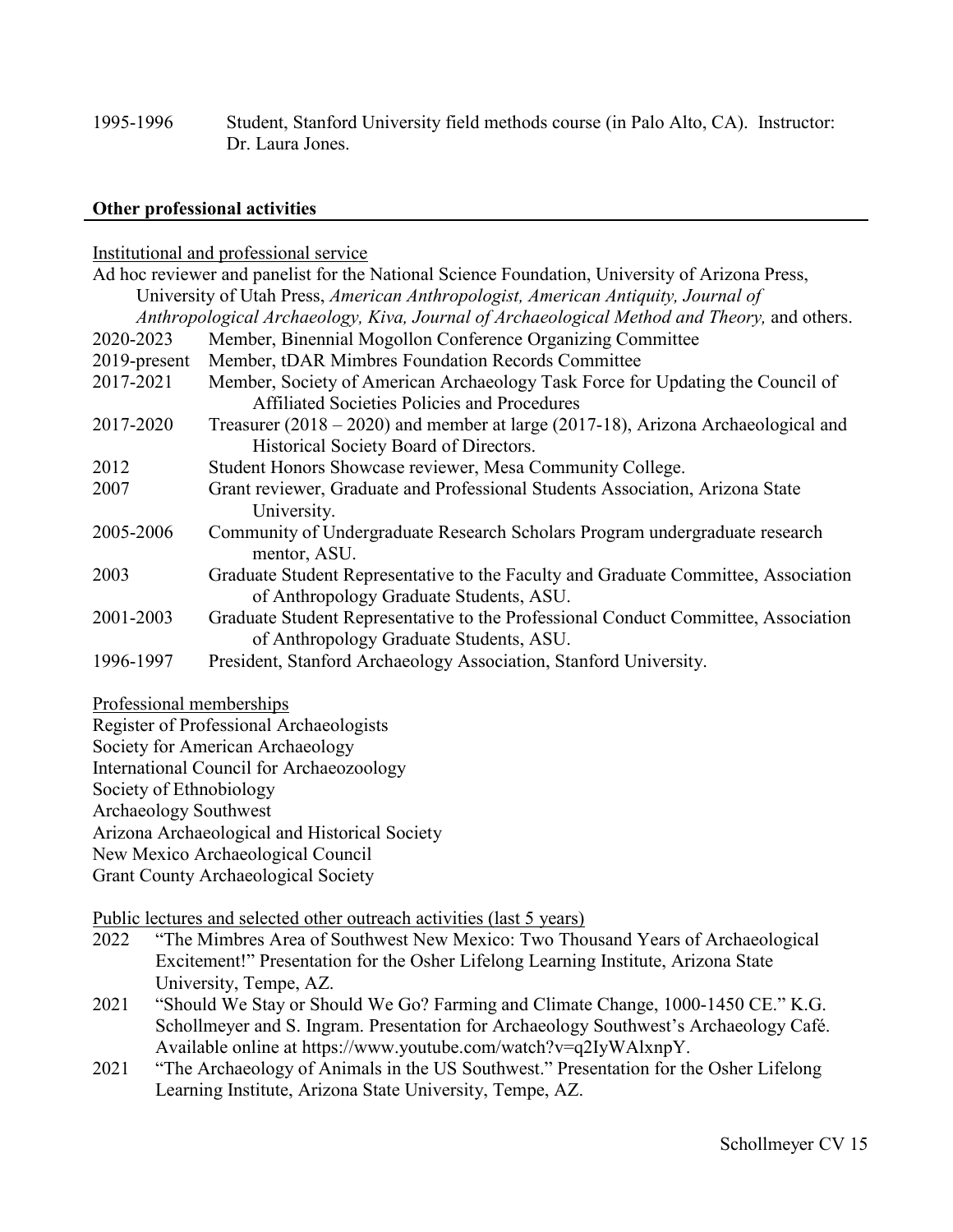1995-1996 Student, Stanford University field methods course (in Palo Alto, CA). Instructor: Dr. Laura Jones.

## **Other professional activities**

#### Institutional and professional service

|              | Ad hoc reviewer and panelist for the National Science Foundation, University of Arizona Press,                                        |
|--------------|---------------------------------------------------------------------------------------------------------------------------------------|
|              | University of Utah Press, American Anthropologist, American Antiquity, Journal of                                                     |
|              | Anthropological Archaeology, Kiva, Journal of Archaeological Method and Theory, and others.                                           |
| 2020-2023    | Member, Binennial Mogollon Conference Organizing Committee                                                                            |
| 2019-present | Member, tDAR Mimbres Foundation Records Committee                                                                                     |
| 2017-2021    | Member, Society of American Archaeology Task Force for Updating the Council of<br><b>Affiliated Societies Policies and Procedures</b> |
| 2017-2020    | Treasurer $(2018 - 2020)$ and member at large $(2017-18)$ , Arizona Archaeological and<br>Historical Society Board of Directors.      |
| 2012         | Student Honors Showcase reviewer, Mesa Community College.                                                                             |
| 2007         | Grant reviewer, Graduate and Professional Students Association, Arizona State<br>University.                                          |
| 2005-2006    | Community of Undergraduate Research Scholars Program undergraduate research<br>mentor, ASU.                                           |
| 2003         | Graduate Student Representative to the Faculty and Graduate Committee, Association<br>of Anthropology Graduate Students, ASU.         |
| 2001-2003    | Graduate Student Representative to the Professional Conduct Committee, Association<br>of Anthropology Graduate Students, ASU.         |
| 1996-1997    | President, Stanford Archaeology Association, Stanford University.                                                                     |

## Professional memberships

Register of Professional Archaeologists

Society for American Archaeology

International Council for Archaeozoology

Society of Ethnobiology

Archaeology Southwest

Arizona Archaeological and Historical Society

New Mexico Archaeological Council

Grant County Archaeological Society

Public lectures and selected other outreach activities (last 5 years)

- 2022 "The Mimbres Area of Southwest New Mexico: Two Thousand Years of Archaeological Excitement!" Presentation for the Osher Lifelong Learning Institute, Arizona State University, Tempe, AZ.
- 2021 "Should We Stay or Should We Go? Farming and Climate Change, 1000-1450 CE." K.G. Schollmeyer and S. Ingram. Presentation for Archaeology Southwest's Archaeology Café. Available online at https://www.youtube.com/watch?v=q2IyWAlxnpY.
- 2021 "The Archaeology of Animals in the US Southwest." Presentation for the Osher Lifelong Learning Institute, Arizona State University, Tempe, AZ.